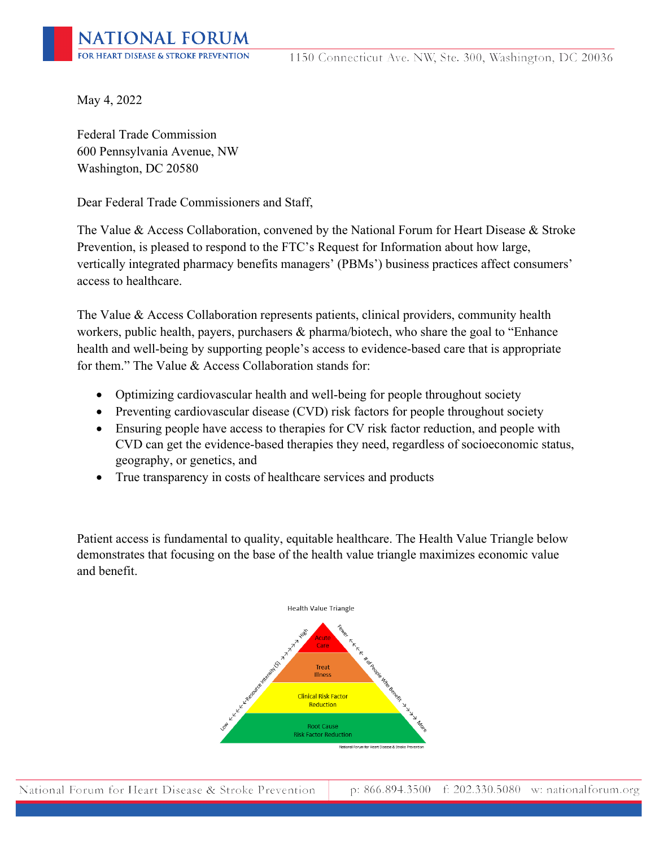May 4, 2022

Federal Trade Commission 600 Pennsylvania Avenue, NW Washington, DC 20580

Dear Federal Trade Commissioners and Staff,

The Value & Access Collaboration, convened by the National Forum for Heart Disease & Stroke Prevention, is pleased to respond to the FTC's Request for Information about how large, vertically integrated pharmacy benefits managers' (PBMs') business practices affect consumers' access to healthcare.

The Value & Access Collaboration represents patients, clinical providers, community health workers, public health, payers, purchasers & pharma/biotech, who share the goal to "Enhance health and well-being by supporting people's access to evidence-based care that is appropriate for them." The Value & Access Collaboration stands for:

- Optimizing cardiovascular health and well-being for people throughout society
- Preventing cardiovascular disease (CVD) risk factors for people throughout society
- Ensuring people have access to therapies for CV risk factor reduction, and people with CVD can get the evidence-based therapies they need, regardless of socioeconomic status, geography, or genetics, and
- True transparency in costs of healthcare services and products

Patient access is fundamental to quality, equitable healthcare. The Health Value Triangle below demonstrates that focusing on the base of the health value triangle maximizes economic value and benefit.

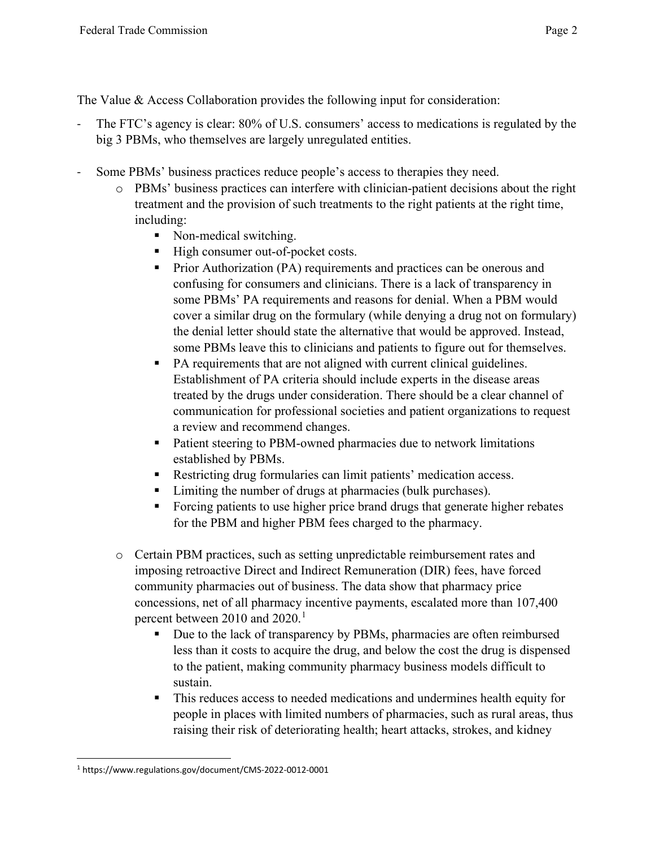The Value & Access Collaboration provides the following input for consideration:

- The FTC's agency is clear: 80% of U.S. consumers' access to medications is regulated by the big 3 PBMs, who themselves are largely unregulated entities.
- Some PBMs' business practices reduce people's access to therapies they need.
	- o PBMs' business practices can interfere with clinician-patient decisions about the right treatment and the provision of such treatments to the right patients at the right time, including:
		- Non-medical switching.
		- High consumer out-of-pocket costs.
		- **Prior Authorization (PA) requirements and practices can be onerous and** confusing for consumers and clinicians. There is a lack of transparency in some PBMs' PA requirements and reasons for denial. When a PBM would cover a similar drug on the formulary (while denying a drug not on formulary) the denial letter should state the alternative that would be approved. Instead, some PBMs leave this to clinicians and patients to figure out for themselves.
		- PA requirements that are not aligned with current clinical guidelines. Establishment of PA criteria should include experts in the disease areas treated by the drugs under consideration. There should be a clear channel of communication for professional societies and patient organizations to request a review and recommend changes.
		- Patient steering to PBM-owned pharmacies due to network limitations established by PBMs.
		- Restricting drug formularies can limit patients' medication access.
		- **EXECUTE:** Limiting the number of drugs at pharmacies (bulk purchases).
		- Forcing patients to use higher price brand drugs that generate higher rebates for the PBM and higher PBM fees charged to the pharmacy.
	- o Certain PBM practices, such as setting unpredictable reimbursement rates and imposing retroactive Direct and Indirect Remuneration (DIR) fees, have forced community pharmacies out of business. The data show that pharmacy price concessions, net of all pharmacy incentive payments, escalated more than 107,400 percent between 20[1](#page-1-0)0 and 2020.<sup>1</sup>
		- Due to the lack of transparency by PBMs, pharmacies are often reimbursed less than it costs to acquire the drug, and below the cost the drug is dispensed to the patient, making community pharmacy business models difficult to sustain.
		- This reduces access to needed medications and undermines health equity for people in places with limited numbers of pharmacies, such as rural areas, thus raising their risk of deteriorating health; heart attacks, strokes, and kidney

<span id="page-1-0"></span><sup>1</sup> https://www.regulations.gov/document/CMS-2022-0012-0001